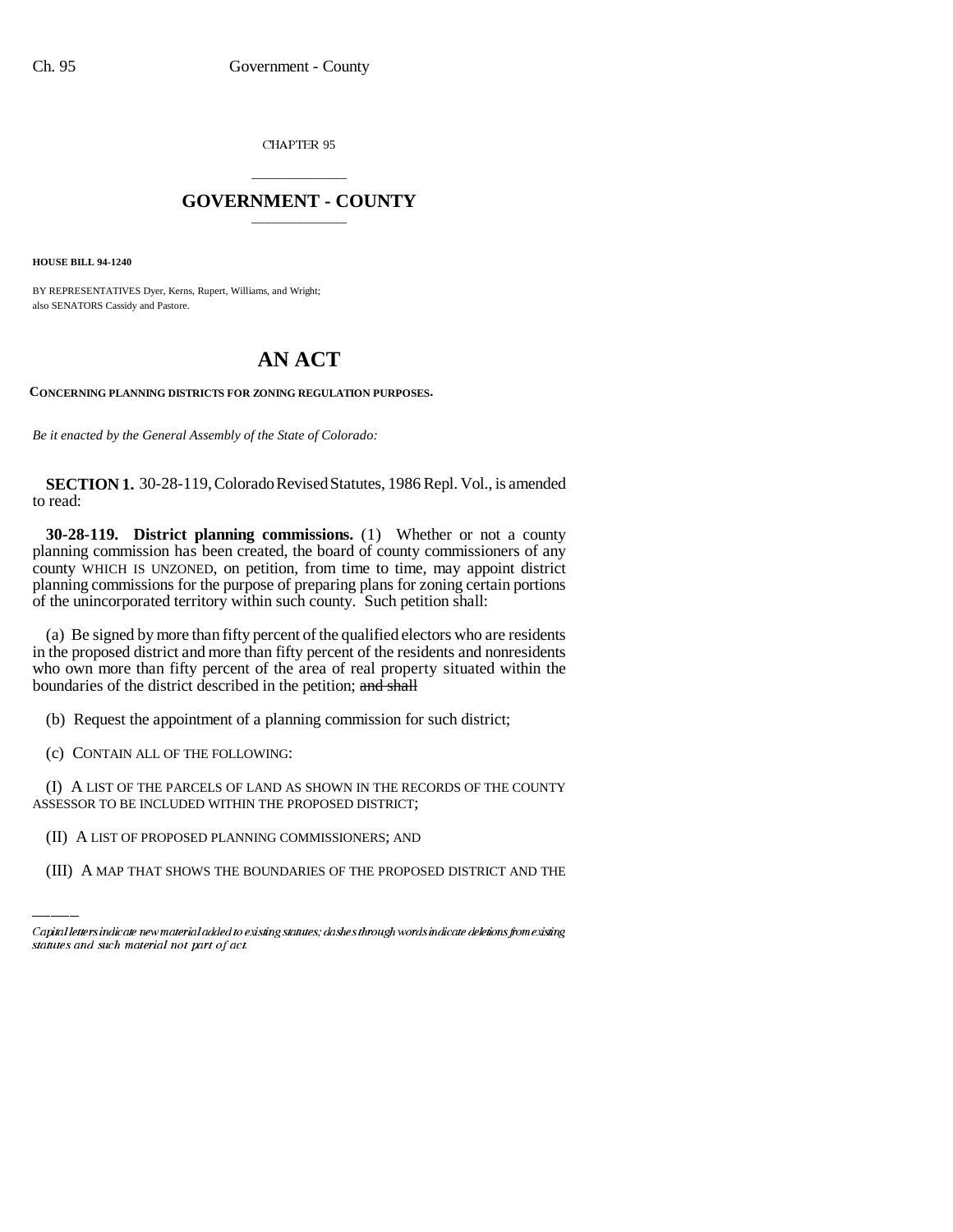CHAPTER 95

## \_\_\_\_\_\_\_\_\_\_\_\_\_\_\_ **GOVERNMENT - COUNTY** \_\_\_\_\_\_\_\_\_\_\_\_\_\_\_

**HOUSE BILL 94-1240**

BY REPRESENTATIVES Dyer, Kerns, Rupert, Williams, and Wright; also SENATORS Cassidy and Pastore.

# **AN ACT**

**CONCERNING PLANNING DISTRICTS FOR ZONING REGULATION PURPOSES.**

*Be it enacted by the General Assembly of the State of Colorado:*

**SECTION 1.** 30-28-119, Colorado Revised Statutes, 1986 Repl. Vol., is amended to read:

**30-28-119. District planning commissions.** (1) Whether or not a county planning commission has been created, the board of county commissioners of any county WHICH IS UNZONED, on petition, from time to time, may appoint district planning commissions for the purpose of preparing plans for zoning certain portions of the unincorporated territory within such county. Such petition shall:

(a) Be signed by more than fifty percent of the qualified electors who are residents in the proposed district and more than fifty percent of the residents and nonresidents who own more than fifty percent of the area of real property situated within the boundaries of the district described in the petition; and shall

(b) Request the appointment of a planning commission for such district;

(c) CONTAIN ALL OF THE FOLLOWING:

ASSESSOR TO BE INCLUDED WITHIN THE PROPOSED DISTRICT; (I) A LIST OF THE PARCELS OF LAND AS SHOWN IN THE RECORDS OF THE COUNTY

(II) A LIST OF PROPOSED PLANNING COMMISSIONERS; AND

(III) A MAP THAT SHOWS THE BOUNDARIES OF THE PROPOSED DISTRICT AND THE

Capital letters indicate new material added to existing statutes; dashes through words indicate deletions from existing statutes and such material not part of act.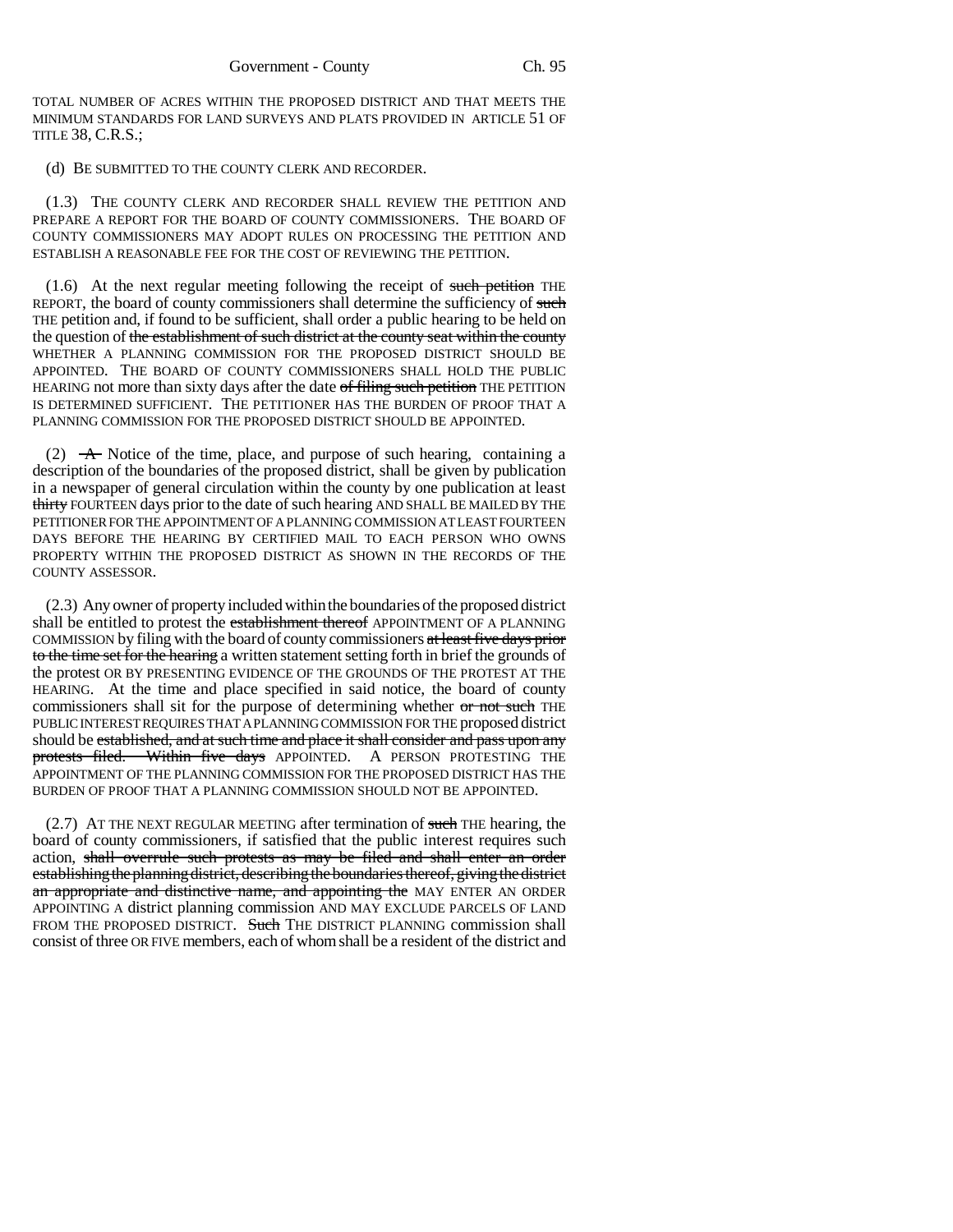TOTAL NUMBER OF ACRES WITHIN THE PROPOSED DISTRICT AND THAT MEETS THE MINIMUM STANDARDS FOR LAND SURVEYS AND PLATS PROVIDED IN ARTICLE 51 OF TITLE 38, C.R.S.;

### (d) BE SUBMITTED TO THE COUNTY CLERK AND RECORDER.

(1.3) THE COUNTY CLERK AND RECORDER SHALL REVIEW THE PETITION AND PREPARE A REPORT FOR THE BOARD OF COUNTY COMMISSIONERS. THE BOARD OF COUNTY COMMISSIONERS MAY ADOPT RULES ON PROCESSING THE PETITION AND ESTABLISH A REASONABLE FEE FOR THE COST OF REVIEWING THE PETITION.

 $(1.6)$  At the next regular meeting following the receipt of such petition THE REPORT, the board of county commissioners shall determine the sufficiency of such THE petition and, if found to be sufficient, shall order a public hearing to be held on the question of <del>the establishment of such district at the county seat within the county</del> WHETHER A PLANNING COMMISSION FOR THE PROPOSED DISTRICT SHOULD BE APPOINTED. THE BOARD OF COUNTY COMMISSIONERS SHALL HOLD THE PUBLIC HEARING not more than sixty days after the date of filing such petition THE PETITION IS DETERMINED SUFFICIENT. THE PETITIONER HAS THE BURDEN OF PROOF THAT A PLANNING COMMISSION FOR THE PROPOSED DISTRICT SHOULD BE APPOINTED.

(2)  $\rightarrow$  Notice of the time, place, and purpose of such hearing, containing a description of the boundaries of the proposed district, shall be given by publication in a newspaper of general circulation within the county by one publication at least thirty FOURTEEN days prior to the date of such hearing AND SHALL BE MAILED BY THE PETITIONER FOR THE APPOINTMENT OF A PLANNING COMMISSION AT LEAST FOURTEEN DAYS BEFORE THE HEARING BY CERTIFIED MAIL TO EACH PERSON WHO OWNS PROPERTY WITHIN THE PROPOSED DISTRICT AS SHOWN IN THE RECORDS OF THE COUNTY ASSESSOR.

(2.3) Any owner of property included within the boundaries of the proposed district shall be entitled to protest the establishment thereof APPOINTMENT OF A PLANNING COMMISSION by filing with the board of county commissioners at least five days prior to the time set for the hearing a written statement setting forth in brief the grounds of the protest OR BY PRESENTING EVIDENCE OF THE GROUNDS OF THE PROTEST AT THE HEARING. At the time and place specified in said notice, the board of county commissioners shall sit for the purpose of determining whether or not such THE PUBLIC INTEREST REQUIRES THAT A PLANNING COMMISSION FOR THE proposed district should be established, and at such time and place it shall consider and pass upon any protests filed. Within five days APPOINTED. A PERSON PROTESTING THE APPOINTMENT OF THE PLANNING COMMISSION FOR THE PROPOSED DISTRICT HAS THE BURDEN OF PROOF THAT A PLANNING COMMISSION SHOULD NOT BE APPOINTED.

 $(2.7)$  AT THE NEXT REGULAR MEETING after termination of such THE hearing, the board of county commissioners, if satisfied that the public interest requires such action, shall overrule such protests as may be filed and shall enter an order establishing the planning district, describing the boundaries thereof, giving the district an appropriate and distinctive name, and appointing the MAY ENTER AN ORDER APPOINTING A district planning commission AND MAY EXCLUDE PARCELS OF LAND FROM THE PROPOSED DISTRICT. Such THE DISTRICT PLANNING commission shall consist of three OR FIVE members, each of whom shall be a resident of the district and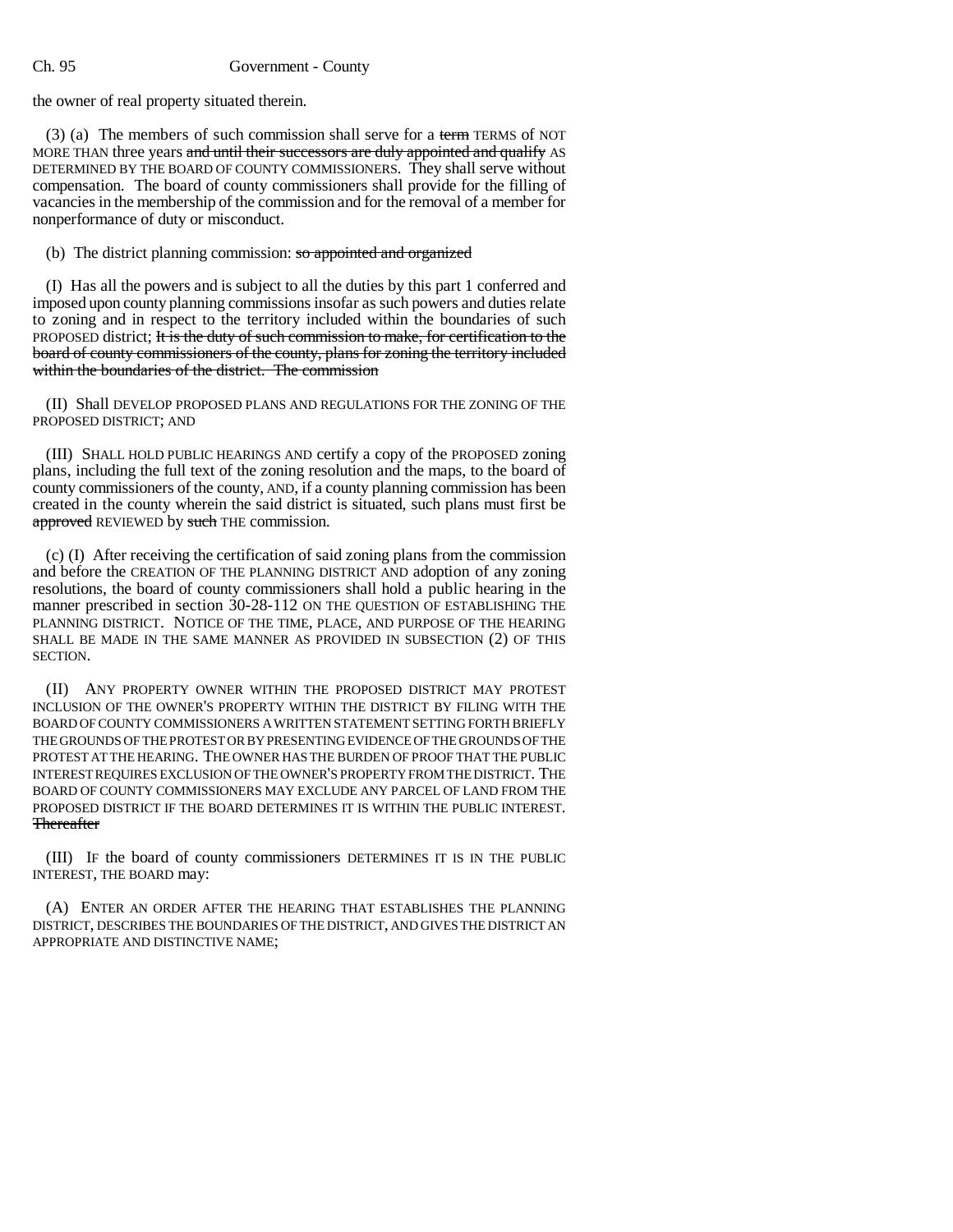### Ch. 95 Government - County

the owner of real property situated therein.

(3) (a) The members of such commission shall serve for a term TERMS of NOT MORE THAN three years and until their successors are duly appointed and qualify AS DETERMINED BY THE BOARD OF COUNTY COMMISSIONERS. They shall serve without compensation. The board of county commissioners shall provide for the filling of vacancies in the membership of the commission and for the removal of a member for nonperformance of duty or misconduct.

(b) The district planning commission: so appointed and organized

(I) Has all the powers and is subject to all the duties by this part 1 conferred and imposed upon county planning commissions insofar as such powers and duties relate to zoning and in respect to the territory included within the boundaries of such PROPOSED district; It is the duty of such commission to make, for certification to the board of county commissioners of the county, plans for zoning the territory included within the boundaries of the district. The commission

(II) Shall DEVELOP PROPOSED PLANS AND REGULATIONS FOR THE ZONING OF THE PROPOSED DISTRICT; AND

(III) SHALL HOLD PUBLIC HEARINGS AND certify a copy of the PROPOSED zoning plans, including the full text of the zoning resolution and the maps, to the board of county commissioners of the county, AND, if a county planning commission has been created in the county wherein the said district is situated, such plans must first be approved REVIEWED by such THE commission.

(c) (I) After receiving the certification of said zoning plans from the commission and before the CREATION OF THE PLANNING DISTRICT AND adoption of any zoning resolutions, the board of county commissioners shall hold a public hearing in the manner prescribed in section 30-28-112 ON THE QUESTION OF ESTABLISHING THE PLANNING DISTRICT. NOTICE OF THE TIME, PLACE, AND PURPOSE OF THE HEARING SHALL BE MADE IN THE SAME MANNER AS PROVIDED IN SUBSECTION (2) OF THIS SECTION.

(II) ANY PROPERTY OWNER WITHIN THE PROPOSED DISTRICT MAY PROTEST INCLUSION OF THE OWNER'S PROPERTY WITHIN THE DISTRICT BY FILING WITH THE BOARD OF COUNTY COMMISSIONERS A WRITTEN STATEMENT SETTING FORTH BRIEFLY THE GROUNDS OF THE PROTEST OR BY PRESENTING EVIDENCE OF THE GROUNDS OF THE PROTEST AT THE HEARING. THE OWNER HAS THE BURDEN OF PROOF THAT THE PUBLIC INTEREST REQUIRES EXCLUSION OF THE OWNER'S PROPERTY FROM THE DISTRICT. THE BOARD OF COUNTY COMMISSIONERS MAY EXCLUDE ANY PARCEL OF LAND FROM THE PROPOSED DISTRICT IF THE BOARD DETERMINES IT IS WITHIN THE PUBLIC INTEREST. **Thereafter** 

(III) IF the board of county commissioners DETERMINES IT IS IN THE PUBLIC INTEREST, THE BOARD may:

(A) ENTER AN ORDER AFTER THE HEARING THAT ESTABLISHES THE PLANNING DISTRICT, DESCRIBES THE BOUNDARIES OF THE DISTRICT, AND GIVES THE DISTRICT AN APPROPRIATE AND DISTINCTIVE NAME;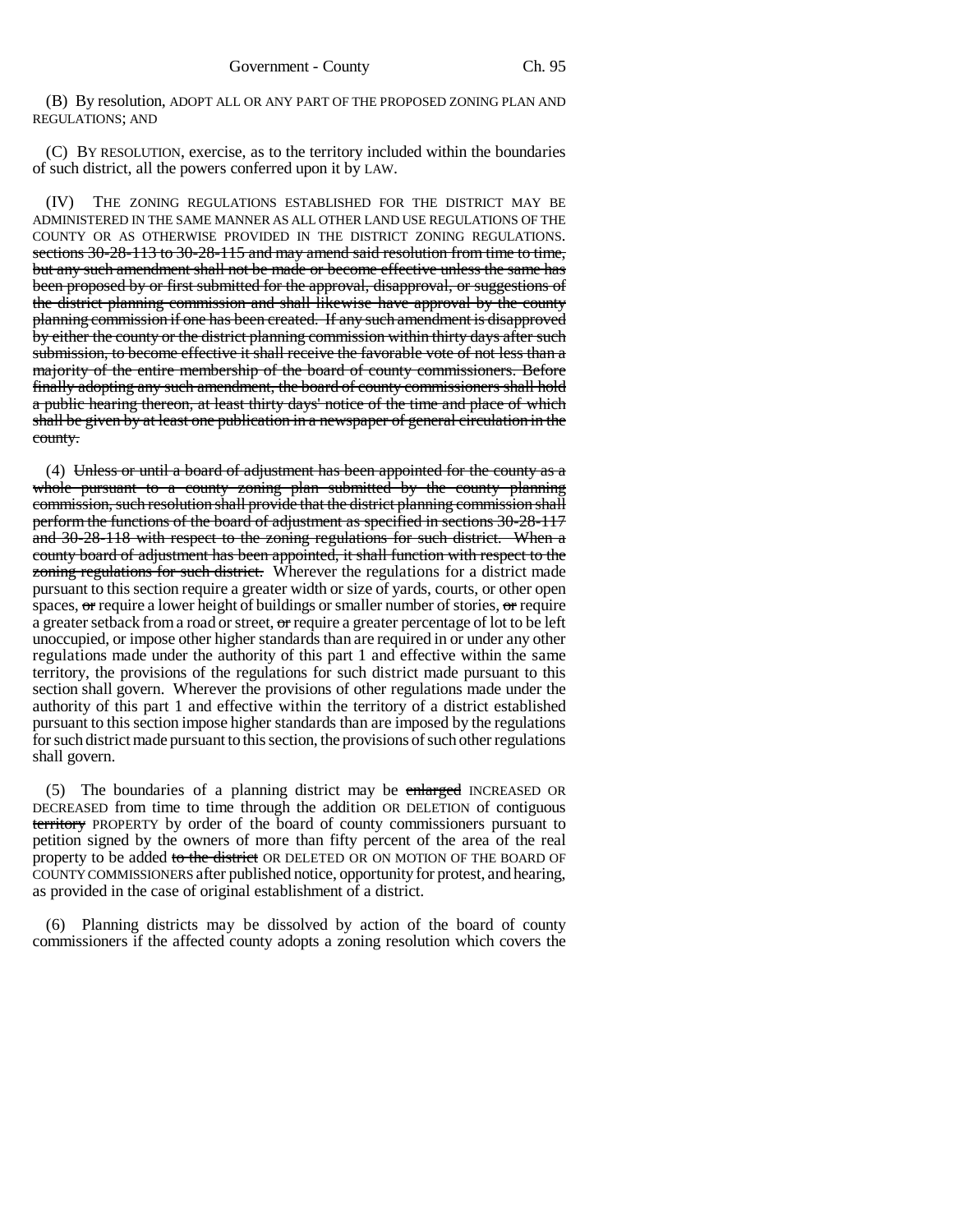(B) By resolution, ADOPT ALL OR ANY PART OF THE PROPOSED ZONING PLAN AND REGULATIONS; AND

(C) BY RESOLUTION, exercise, as to the territory included within the boundaries of such district, all the powers conferred upon it by LAW.

(IV) THE ZONING REGULATIONS ESTABLISHED FOR THE DISTRICT MAY BE ADMINISTERED IN THE SAME MANNER AS ALL OTHER LAND USE REGULATIONS OF THE COUNTY OR AS OTHERWISE PROVIDED IN THE DISTRICT ZONING REGULATIONS. sections 30-28-113 to 30-28-115 and may amend said resolution from time to time, but any such amendment shall not be made or become effective unless the same has been proposed by or first submitted for the approval, disapproval, or suggestions of the district planning commission and shall likewise have approval by the county planning commission if one has been created. If any such amendment is disapproved by either the county or the district planning commission within thirty days after such submission, to become effective it shall receive the favorable vote of not less than a majority of the entire membership of the board of county commissioners. Before finally adopting any such amendment, the board of county commissioners shall hold a public hearing thereon, at least thirty days' notice of the time and place of which shall be given by at least one publication in a newspaper of general circulation in the county.

(4) Unless or until a board of adjustment has been appointed for the county as a whole pursuant to a county zoning plan submitted by the county planning commission, such resolution shall provide that the district planning commission shall perform the functions of the board of adjustment as specified in sections 30-28-117 and 30-28-118 with respect to the zoning regulations for such district. When a county board of adjustment has been appointed, it shall function with respect to the zoning regulations for such district. Wherever the regulations for a district made pursuant to this section require a greater width or size of yards, courts, or other open spaces,  $\sigma$  require a lower height of buildings or smaller number of stories,  $\sigma$  require a greater setback from a road or street,  $\sigma$ require a greater percentage of lot to be left unoccupied, or impose other higher standards than are required in or under any other regulations made under the authority of this part 1 and effective within the same territory, the provisions of the regulations for such district made pursuant to this section shall govern. Wherever the provisions of other regulations made under the authority of this part 1 and effective within the territory of a district established pursuant to this section impose higher standards than are imposed by the regulations for such district made pursuant to this section, the provisions of such other regulations shall govern.

(5) The boundaries of a planning district may be enlarged INCREASED OR DECREASED from time to time through the addition OR DELETION of contiguous territory PROPERTY by order of the board of county commissioners pursuant to petition signed by the owners of more than fifty percent of the area of the real property to be added to the district OR DELETED OR ON MOTION OF THE BOARD OF COUNTY COMMISSIONERS after published notice, opportunity for protest, and hearing, as provided in the case of original establishment of a district.

(6) Planning districts may be dissolved by action of the board of county commissioners if the affected county adopts a zoning resolution which covers the